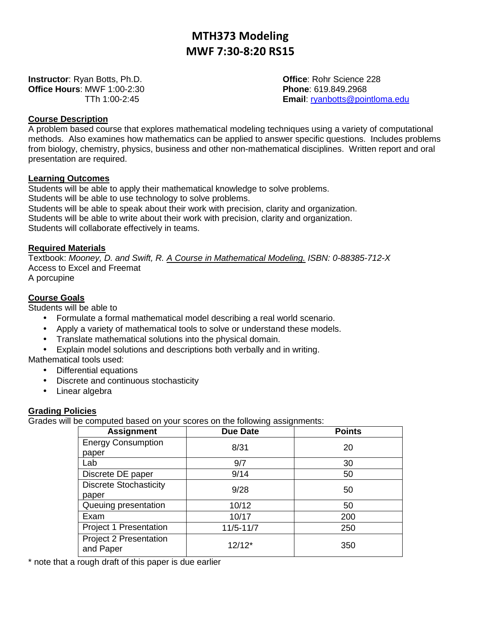# MTH373 Modeling MWF 7:30-8:20 RS15

**Instructor**: Ryan Botts, Ph.D. **Communist Communist Communist Communist Communist Communist Communist Communist Communist Communist Communist Communist Communist Communist Communist Communist Communist Communist Communist Office Hours**: MWF 1:00-2:30 **Phone**: 619.849.2968

TTh 1:00-2:45 **Email**: ryanbotts@pointloma.edu

## **Course Description**

A problem based course that explores mathematical modeling techniques using a variety of computational methods. Also examines how mathematics can be applied to answer specific questions. Includes problems from biology, chemistry, physics, business and other non-mathematical disciplines. Written report and oral presentation are required.

#### **Learning Outcomes**

Students will be able to apply their mathematical knowledge to solve problems. Students will be able to use technology to solve problems. Students will be able to speak about their work with precision, clarity and organization. Students will be able to write about their work with precision, clarity and organization. Students will collaborate effectively in teams.

## **Required Materials**

Textbook: Mooney, D. and Swift, R. A Course in Mathematical Modeling. ISBN: 0-88385-712-X Access to Excel and Freemat

A porcupine

#### **Course Goals**

Students will be able to

- Formulate a formal mathematical model describing a real world scenario.
- Apply a variety of mathematical tools to solve or understand these models.
- Translate mathematical solutions into the physical domain.
- Explain model solutions and descriptions both verbally and in writing.

Mathematical tools used:

- Differential equations
- Discrete and continuous stochasticity
- Linear algebra

## **Grading Policies**

Grades will be computed based on your scores on the following assignments:

| <b>Assignment</b>                          | <b>Due Date</b> | <b>Points</b> |
|--------------------------------------------|-----------------|---------------|
| <b>Energy Consumption</b>                  | 8/31            | 20            |
| paper<br>Lab                               | 9/7             | 30            |
| Discrete DE paper                          | 9/14            | 50            |
| <b>Discrete Stochasticity</b>              | 9/28            | 50            |
| paper<br>Queuing presentation              | 10/12           | 50            |
| Exam                                       | 10/17           | 200           |
| Project 1 Presentation                     | $11/5 - 11/7$   | 250           |
| <b>Project 2 Presentation</b><br>and Paper | $12/12*$        | 350           |

\* note that a rough draft of this paper is due earlier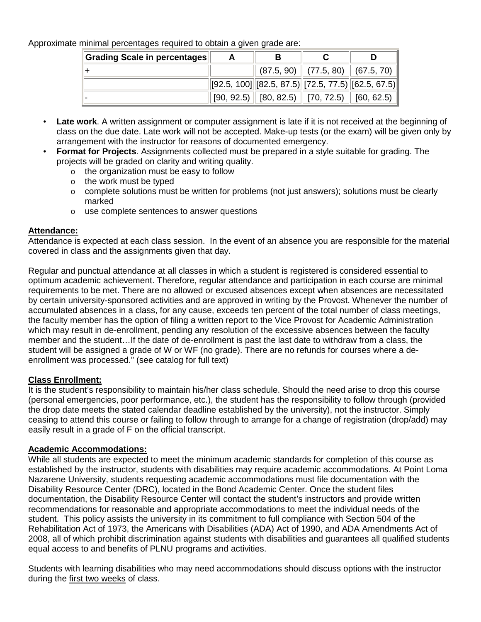Approximate minimal percentages required to obtain a given grade are:

| Grading Scale in percentages | A | в |                                                                                                         |  |
|------------------------------|---|---|---------------------------------------------------------------------------------------------------------|--|
|                              |   |   | $\parallel$ (87.5, 90) $\parallel$ (77.5, 80) $\parallel$ (67.5, 70) $\parallel$                        |  |
|                              |   |   | $\left\  [92.5, 100] \right\  [82.5, 87.5] \left\  [72.5, 77.5] \right\  [62.5, 67.5] \right\ $         |  |
|                              |   |   | $\parallel$ [90, 92.5) $\parallel$ [80, 82.5) $\parallel$ [70, 72.5) $\parallel$ [60, 62.5) $\parallel$ |  |

- **Late work**. A written assignment or computer assignment is late if it is not received at the beginning of class on the due date. Late work will not be accepted. Make-up tests (or the exam) will be given only by arrangement with the instructor for reasons of documented emergency.
- **Format for Projects**. Assignments collected must be prepared in a style suitable for grading. The projects will be graded on clarity and writing quality.
	- o the organization must be easy to follow
	- o the work must be typed
	- $\circ$  complete solutions must be written for problems (not just answers); solutions must be clearly marked
	- o use complete sentences to answer questions

## **Attendance:**

Attendance is expected at each class session. In the event of an absence you are responsible for the material covered in class and the assignments given that day.

Regular and punctual attendance at all classes in which a student is registered is considered essential to optimum academic achievement. Therefore, regular attendance and participation in each course are minimal requirements to be met. There are no allowed or excused absences except when absences are necessitated by certain university-sponsored activities and are approved in writing by the Provost. Whenever the number of accumulated absences in a class, for any cause, exceeds ten percent of the total number of class meetings, the faculty member has the option of filing a written report to the Vice Provost for Academic Administration which may result in de-enrollment, pending any resolution of the excessive absences between the faculty member and the student…If the date of de-enrollment is past the last date to withdraw from a class, the student will be assigned a grade of W or WF (no grade). There are no refunds for courses where a deenrollment was processed." (see catalog for full text)

## **Class Enrollment:**

It is the student's responsibility to maintain his/her class schedule. Should the need arise to drop this course (personal emergencies, poor performance, etc.), the student has the responsibility to follow through (provided the drop date meets the stated calendar deadline established by the university), not the instructor. Simply ceasing to attend this course or failing to follow through to arrange for a change of registration (drop/add) may easily result in a grade of F on the official transcript.

## **Academic Accommodations:**

While all students are expected to meet the minimum academic standards for completion of this course as established by the instructor, students with disabilities may require academic accommodations. At Point Loma Nazarene University, students requesting academic accommodations must file documentation with the Disability Resource Center (DRC), located in the Bond Academic Center. Once the student files documentation, the Disability Resource Center will contact the student's instructors and provide written recommendations for reasonable and appropriate accommodations to meet the individual needs of the student. This policy assists the university in its commitment to full compliance with Section 504 of the Rehabilitation Act of 1973, the Americans with Disabilities (ADA) Act of 1990, and ADA Amendments Act of 2008, all of which prohibit discrimination against students with disabilities and guarantees all qualified students equal access to and benefits of PLNU programs and activities.

Students with learning disabilities who may need accommodations should discuss options with the instructor during the first two weeks of class.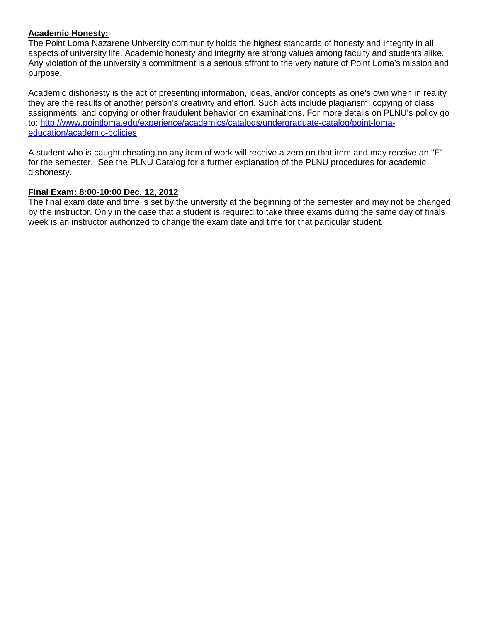## **Academic Honesty:**

The Point Loma Nazarene University community holds the highest standards of honesty and integrity in all aspects of university life. Academic honesty and integrity are strong values among faculty and students alike. Any violation of the university's commitment is a serious affront to the very nature of Point Loma's mission and purpose.

Academic dishonesty is the act of presenting information, ideas, and/or concepts as one's own when in reality they are the results of another person's creativity and effort. Such acts include plagiarism, copying of class assignments, and copying or other fraudulent behavior on examinations. For more details on PLNU's policy go to: http://www.pointloma.edu/experience/academics/catalogs/undergraduate-catalog/point-lomaeducation/academic-policies

A student who is caught cheating on any item of work will receive a zero on that item and may receive an "F" for the semester. See the PLNU Catalog for a further explanation of the PLNU procedures for academic dishonesty.

## **Final Exam: 8:00-10:00 Dec. 12, 2012**

The final exam date and time is set by the university at the beginning of the semester and may not be changed by the instructor. Only in the case that a student is required to take three exams during the same day of finals week is an instructor authorized to change the exam date and time for that particular student.